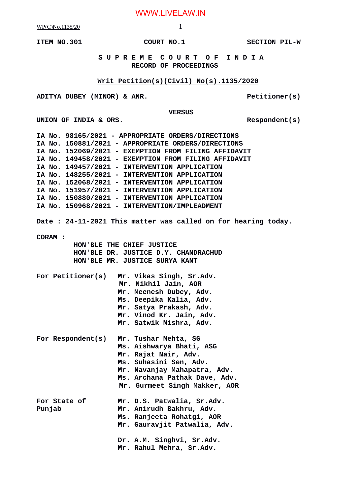WWW.LIVELAW.IN

WP(C)No.1135/20 1

**ITEM NO.301 COURT NO.1** SECTION PIL-W

 **S U P R E M E C O U R T O F I N D I A RECORD OF PROCEEDINGS**

## **Writ Petition(s)(Civil) No(s).1135/2020**

ADITYA DUBEY (MINOR) & ANR. Petitioner(s)

 **VERSUS**

UNION OF INDIA & ORS.

|                                                               | IA No. 98165/2021 - APPROPRIATE ORDERS/DIRECTIONS    |
|---------------------------------------------------------------|------------------------------------------------------|
|                                                               | IA No. 150881/2021 - APPROPRIATE ORDERS/DIRECTIONS   |
|                                                               | IA No. 152069/2021 - EXEMPTION FROM FILING AFFIDAVIT |
|                                                               | IA No. 149458/2021 - EXEMPTION FROM FILING AFFIDAVIT |
|                                                               | IA No. 149457/2021 - INTERVENTION APPLICATION        |
|                                                               | IA No. 148255/2021 - INTERVENTION APPLICATION        |
|                                                               | IA No. 152068/2021 - INTERVENTION APPLICATION        |
|                                                               | IA No. 151957/2021 - INTERVENTION APPLICATION        |
|                                                               | IA No. 150880/2021 - INTERVENTION APPLICATION        |
|                                                               | IA No. 150968/2021 - INTERVENTION/IMPLEADMENT        |
| Date: 24-11-2021 This matter was called on for hearing today. |                                                      |
| <b>CORAM:</b>                                                 |                                                      |
|                                                               | HON'BLE THE CHIEF JUSTICE                            |
|                                                               | HON'BLE DR. JUSTICE D.Y. CHANDRACHUD                 |
|                                                               | HON'BLE MR. JUSTICE SURYA KANT                       |
|                                                               | For Petitioner(s) Mr. Vikas Singh, Sr.Adv.           |
|                                                               | Mr. Nikhil Jain, AOR                                 |
|                                                               | Mr. Meenesh Dubey, Adv.                              |
|                                                               | Ms. Deepika Kalia, Adv.                              |
|                                                               | Mr. Satya Prakash, Adv.                              |
|                                                               | Mr. Vinod Kr. Jain, Adv.                             |
|                                                               | Mr. Satwik Mishra, Adv.                              |
| For Respondent(s)                                             | Mr. Tushar Mehta, SG                                 |
|                                                               | Ms. Aishwarya Bhati, ASG                             |
|                                                               | Mr. Rajat Nair, Adv.                                 |
|                                                               | Ms. Suhasini Sen, Adv.                               |
|                                                               | Mr. Navanjay Mahapatra, Adv.                         |
|                                                               | Ms. Archana Pathak Dave, Adv.                        |
|                                                               | Mr. Gurmeet Singh Makker, AOR                        |
| For State of                                                  | Mr. D.S. Patwalia, Sr.Adv.                           |
| Punjab                                                        | Mr. Anirudh Bakhru, Adv.                             |
|                                                               | Ms. Ranjeeta Rohatgi, AOR                            |
|                                                               | Mr. Gauravjit Patwalia, Adv.                         |
|                                                               | Dr. A.M. Singhvi, Sr.Adv.                            |
|                                                               | Mr. Rahul Mehra, Sr.Adv.                             |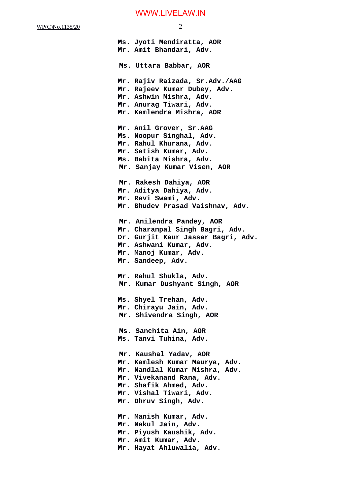**Ms. Jyoti Mendiratta, AOR Mr. Amit Bhandari, Adv. Ms. Uttara Babbar, AOR Mr. Rajiv Raizada, Sr.Adv./AAG Mr. Rajeev Kumar Dubey, Adv. Mr. Ashwin Mishra, Adv. Mr. Anurag Tiwari, Adv. Mr. Kamlendra Mishra, AOR Mr. Anil Grover, Sr.AAG Ms. Noopur Singhal, Adv. Mr. Rahul Khurana, Adv. Mr. Satish Kumar, Adv. Ms. Babita Mishra, Adv. Mr. Sanjay Kumar Visen, AOR Mr. Rakesh Dahiya, AOR Mr. Aditya Dahiya, Adv. Mr. Ravi Swami, Adv. Mr. Bhudev Prasad Vaishnav, Adv. Mr. Anilendra Pandey, AOR Mr. Charanpal Singh Bagri, Adv. Dr. Gurjit Kaur Jassar Bagri, Adv. Mr. Ashwani Kumar, Adv. Mr. Manoj Kumar, Adv. Mr. Sandeep, Adv. Mr. Rahul Shukla, Adv. Mr. Kumar Dushyant Singh, AOR Ms. Shyel Trehan, Adv. Mr. Chirayu Jain, Adv. Mr. Shivendra Singh, AOR Ms. Sanchita Ain, AOR Ms. Tanvi Tuhina, Adv. Mr. Kaushal Yadav, AOR Mr. Kamlesh Kumar Maurya, Adv. Mr. Nandlal Kumar Mishra, Adv. Mr. Vivekanand Rana, Adv. Mr. Shafik Ahmed, Adv. Mr. Vishal Tiwari, Adv. Mr. Dhruv Singh, Adv. Mr. Manish Kumar, Adv. Mr. Nakul Jain, Adv. Mr. Piyush Kaushik, Adv. Mr. Amit Kumar, Adv. Mr. Hayat Ahluwalia, Adv.**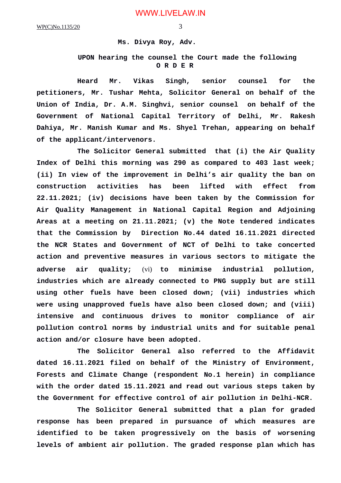## **Ms. Divya Roy, Adv.**

## **UPON hearing the counsel the Court made the following O R D E R**

**Heard Mr. Vikas Singh, senior counsel for the petitioners, Mr. Tushar Mehta, Solicitor General on behalf of the Union of India, Dr. A.M. Singhvi, senior counsel on behalf of the Government of National Capital Territory of Delhi, Mr. Rakesh Dahiya, Mr. Manish Kumar and Ms. Shyel Trehan, appearing on behalf of the applicant/intervenors.**

**The Solicitor General submitted that (i) the Air Quality Index of Delhi this morning was 290 as compared to 403 last week; (ii) In view of the improvement in Delhi's air quality the ban on construction activities has been lifted with effect from 22.11.2021; (iv) decisions have been taken by the Commission for Air Quality Management in National Capital Region and Adjoining Areas at a meeting on 21.11.2021; (v) the Note tendered indicates that the Commission by Direction No.44 dated 16.11.2021 directed the NCR States and Government of NCT of Delhi to take concerted action and preventive measures in various sectors to mitigate the adverse air quality;** (vi) **to minimise industrial pollution, industries which are already connected to PNG supply but are still using other fuels have been closed down; (vii) industries which were using unapproved fuels have also been closed down; and (viii) intensive and continuous drives to monitor compliance of air pollution control norms by industrial units and for suitable penal action and/or closure have been adopted.**

**The Solicitor General also referred to the Affidavit dated 16.11.2021 filed on behalf of the Ministry of Environment, Forests and Climate Change (respondent No.1 herein) in compliance with the order dated 15.11.2021 and read out various steps taken by the Government for effective control of air pollution in Delhi-NCR.**

**The Solicitor General submitted that a plan for graded response has been prepared in pursuance of which measures are identified to be taken progressively on the basis of worsening levels of ambient air pollution. The graded response plan which has**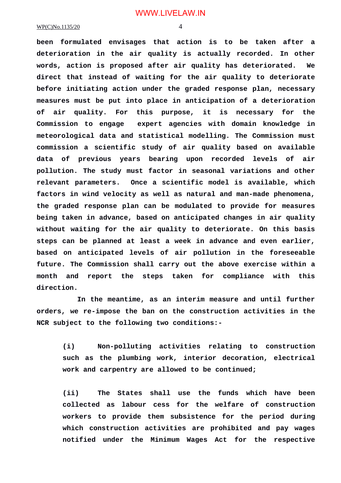**been formulated envisages that action is to be taken after a deterioration in the air quality is actually recorded. In other words, action is proposed after air quality has deteriorated. We direct that instead of waiting for the air quality to deteriorate before initiating action under the graded response plan, necessary measures must be put into place in anticipation of a deterioration of air quality. For this purpose, it is necessary for the Commission to engage expert agencies with domain knowledge in meteorological data and statistical modelling. The Commission must commission a scientific study of air quality based on available data of previous years bearing upon recorded levels of air pollution. The study must factor in seasonal variations and other relevant parameters. Once a scientific model is available, which factors in wind velocity as well as natural and man-made phenomena, the graded response plan can be modulated to provide for measures being taken in advance, based on anticipated changes in air quality without waiting for the air quality to deteriorate. On this basis steps can be planned at least a week in advance and even earlier, based on anticipated levels of air pollution in the foreseeable future. The Commission shall carry out the above exercise within a month and report the steps taken for compliance with this direction.**

**In the meantime, as an interim measure and until further orders, we re-impose the ban on the construction activities in the NCR subject to the following two conditions:-**

**(i) Non-polluting activities relating to construction such as the plumbing work, interior decoration, electrical work and carpentry are allowed to be continued;**

**(ii) The States shall use the funds which have been collected as labour cess for the welfare of construction workers to provide them subsistence for the period during which construction activities are prohibited and pay wages notified under the Minimum Wages Act for the respective**